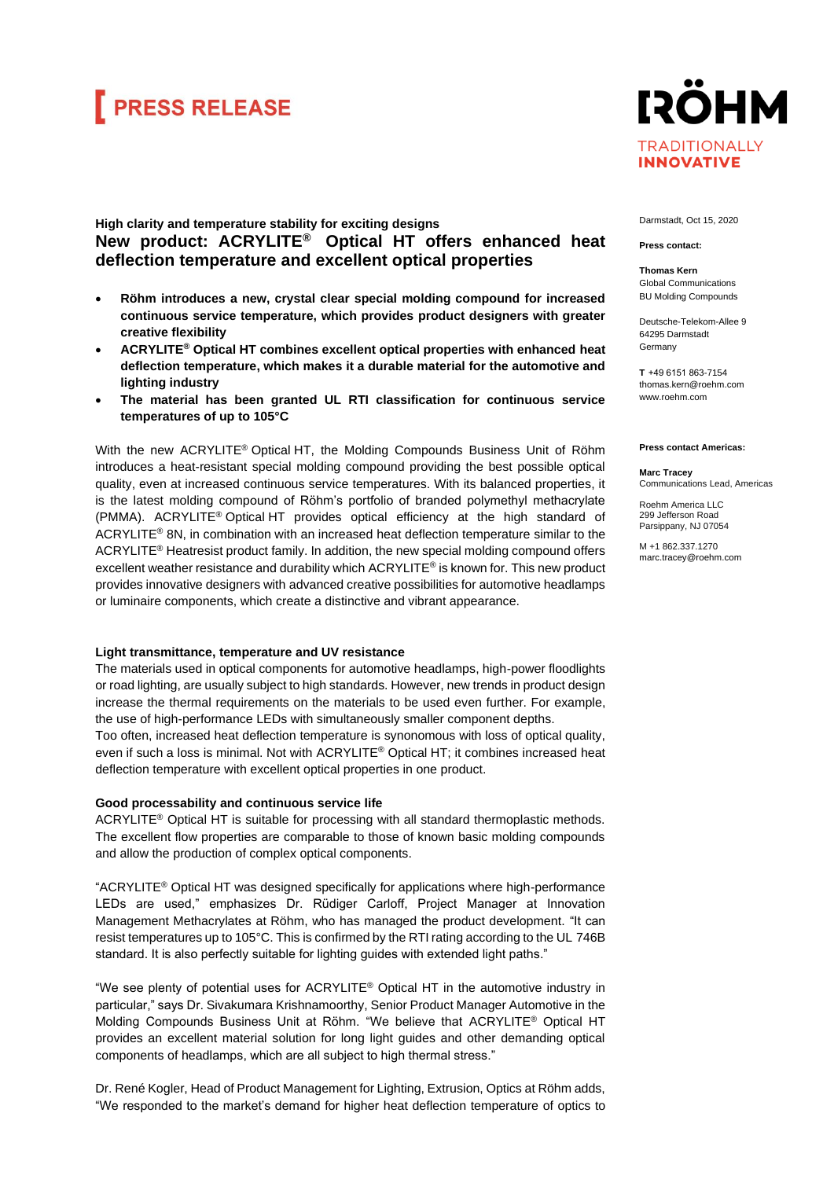# **FRESS RELEASE**



# **High clarity and temperature stability for exciting designs New product: ACRYLITE® Optical HT offers enhanced heat deflection temperature and excellent optical properties**

- **Röhm introduces a new, crystal clear special molding compound for increased continuous service temperature, which provides product designers with greater creative flexibility**
- **ACRYLITE® Optical HT combines excellent optical properties with enhanced heat deflection temperature, which makes it a durable material for the automotive and lighting industry**
- **The material has been granted UL RTI classification for continuous service temperatures of up to 105°C**

With the new ACRYLITE® Optical HT, the Molding Compounds Business Unit of Röhm introduces a heat-resistant special molding compound providing the best possible optical quality, even at increased continuous service temperatures. With its balanced properties, it is the latest molding compound of Röhm's portfolio of branded polymethyl methacrylate (PMMA). ACRYLITE® Optical HT provides optical efficiency at the high standard of ACRYLITE® 8N, in combination with an increased heat deflection temperature similar to the ACRYLITE® Heatresist product family. In addition, the new special molding compound offers excellent weather resistance and durability which ACRYLITE® is known for. This new product provides innovative designers with advanced creative possibilities for automotive headlamps or luminaire components, which create a distinctive and vibrant appearance.

# **Light transmittance, temperature and UV resistance**

The materials used in optical components for automotive headlamps, high-power floodlights or road lighting, are usually subject to high standards. However, new trends in product design increase the thermal requirements on the materials to be used even further. For example, the use of high-performance LEDs with simultaneously smaller component depths.

Too often, increased heat deflection temperature is synonomous with loss of optical quality, even if such a loss is minimal. Not with ACRYLITE® Optical HT; it combines increased heat deflection temperature with excellent optical properties in one product.

# **Good processability and continuous service life**

ACRYLITE® Optical HT is suitable for processing with all standard thermoplastic methods. The excellent flow properties are comparable to those of known basic molding compounds and allow the production of complex optical components.

"ACRYLITE® Optical HT was designed specifically for applications where high-performance LEDs are used," emphasizes Dr. Rüdiger Carloff, Project Manager at Innovation Management Methacrylates at Röhm, who has managed the product development. "It can resist temperatures up to 105°C. This is confirmed by the RTI rating according to the UL 746B standard. It is also perfectly suitable for lighting guides with extended light paths."

"We see plenty of potential uses for ACRYLITE® Optical HT in the automotive industry in particular," says Dr. Sivakumara Krishnamoorthy, Senior Product Manager Automotive in the Molding Compounds Business Unit at Röhm. "We believe that ACRYLITE® Optical HT provides an excellent material solution for long light guides and other demanding optical components of headlamps, which are all subject to high thermal stress."

Dr. René Kogler, Head of Product Management for Lighting, Extrusion, Optics at Röhm adds, "We responded to the market's demand for higher heat deflection temperature of optics to

### Darmstadt, Oct 15, 2020

#### **Press contact:**

**Thomas Kern** Global Communications BU Molding Compounds

Deutsche-Telekom-Allee 9 64295 Darmstadt Germany

**T**  +49 6151 863-7154 thomas.kern@roehm.com [www.roehm.com](http://www.roehm.com/)

#### **Press contact Americas:**

#### **Marc Tracey** Communications Lead, Americas

Roehm America LLC 299 Jefferson Road Parsippany, NJ 07054

M +1 862.337.1270 marc.tracey@roehm.com